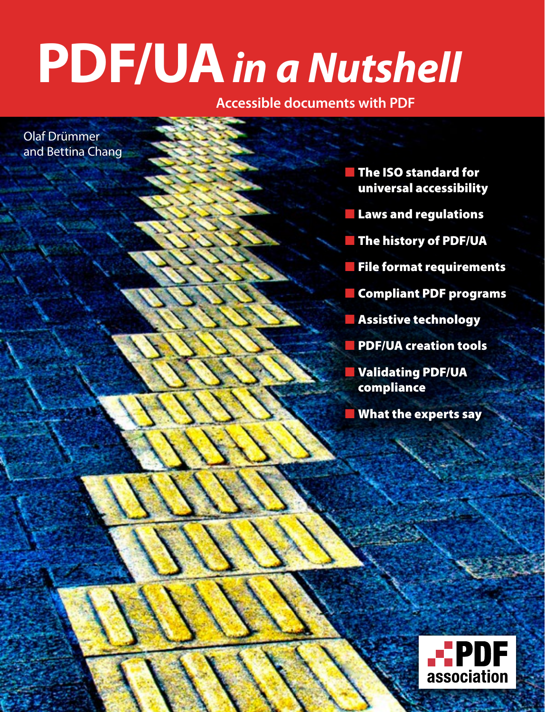# **PDF/UA** *in a Nutshell*

**Accessible documents with PDF**

Olaf Drümmer and Bettina Chang

> ■ The ISO standard for universal accessibility

- Laws and regulations
- **The history of PDF/UA**
- **File format requirements**
- **Compliant PDF programs**
- Assistive technology
- PDF/UA creation tools
- **Validating PDF/UA** compliance
- What the experts say

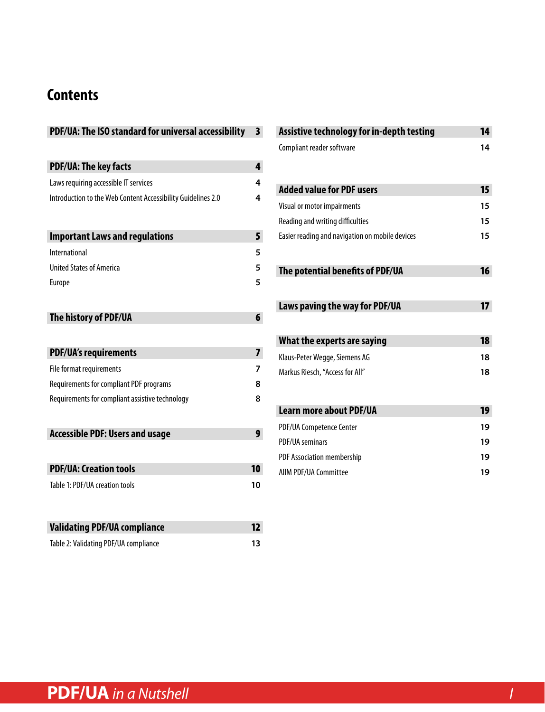### **Contents**

| PDF/UA: The ISO standard for universal accessibility         | 3  |
|--------------------------------------------------------------|----|
|                                                              |    |
| <b>PDF/UA: The key facts</b>                                 | 4  |
| Laws requiring accessible IT services                        | 4  |
| Introduction to the Web Content Accessibility Guidelines 2.0 | 4  |
|                                                              |    |
| <b>Important Laws and regulations</b>                        | 5  |
| <b>International</b>                                         | 5  |
| <b>United States of America</b>                              | 5  |
| <b>Europe</b>                                                | 5  |
|                                                              |    |
| The history of PDF/UA                                        | 6  |
|                                                              |    |
| <b>PDF/UA's requirements</b>                                 | 7  |
| File format requirements                                     | 7  |
| Requirements for compliant PDF programs                      | 8  |
| Requirements for compliant assistive technology              | 8  |
|                                                              |    |
| <b>Accessible PDF: Users and usage</b>                       | 9  |
|                                                              |    |
| <b>PDF/UA: Creation tools</b>                                | 10 |
| Table 1: PDF/UA creation tools                               | 10 |
|                                                              |    |
|                                                              |    |
| <b>Validating PDF/UA compliance</b>                          | 12 |

[Table 2: Validating PDF/UA compliance](#page-12-0) **13**

| Assistive technology for in-depth testing       | 14 |
|-------------------------------------------------|----|
| Compliant reader software                       | 14 |
| <b>Added value for PDF users</b>                | 15 |
| <b>Visual or motor impairments</b>              | 15 |
| Reading and writing difficulties                | 15 |
| Easier reading and navigation on mobile devices | 15 |
| The potential benefits of PDF/UA                | 16 |
| Laws paving the way for PDF/UA                  | 17 |
| What the experts are saying                     | 18 |
| Klaus-Peter Wegge, Siemens AG                   | 18 |
| Markus Riesch, "Access for All"                 | 18 |
| <b>Learn more about PDF/UA</b>                  | 19 |
| PDF/UA Competence Center                        | 19 |
| PDF/UA seminars                                 | 19 |
| PDF Association membership                      | 19 |
| <b>AIIM PDF/UA Committee</b>                    | 19 |
|                                                 |    |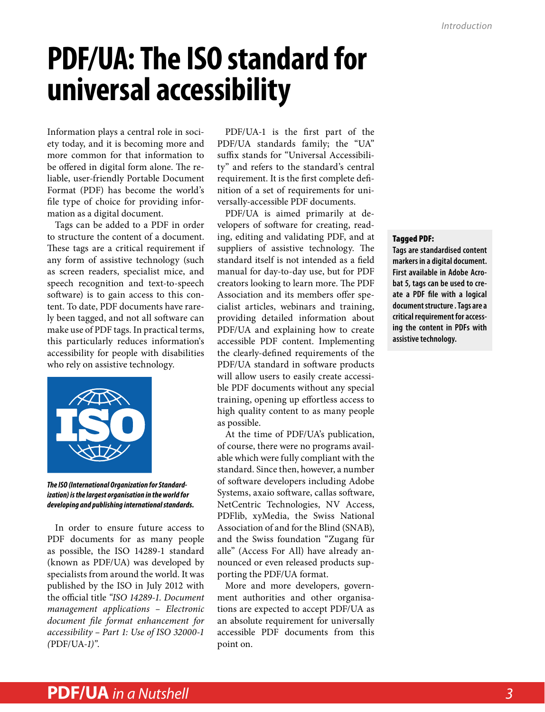### <span id="page-2-0"></span>**PDF/UA: The ISO standard for universal accessibility**

Information plays a central role in society today, and it is becoming more and more common for that information to be offered in digital form alone. The reliable, user-friendly Portable Document Format (PDF) has become the world's file type of choice for providing information as a digital document.

Tags can be added to a PDF in order to structure the content of a document. These tags are a critical requirement if any form of assistive technology (such as screen readers, specialist mice, and speech recognition and text-to-speech software) is to gain access to this content. To date, PDF documents have rarely been tagged, and not all software can make use of PDF tags. In practical terms, this particularly reduces information's accessibility for people with disabilities who rely on assistive technology.



*The ISO (International Organization for Standardization) is the largest organisation in the world for developing and publishing international standards.*

In order to ensure future access to PDF documents for as many people as possible, the ISO 14289-1 standard (known as PDF/UA) was developed by specialists from around the world. It was published by the ISO in July 2012 with the official title *"ISO 14289-1. Document management applications – Electronic document file format enhancement for accessibility – Part 1: Use of ISO 32000-1 (*PDF/UA*-1)"*.

PDF/UA-1 is the first part of the PDF/UA standards family; the "UA" suffix stands for "Universal Accessibility" and refers to the standard's central requirement. It is the first complete definition of a set of requirements for universally-accessible PDF documents.

PDF/UA is aimed primarily at developers of software for creating, reading, editing and validating PDF, and at suppliers of assistive technology. The standard itself is not intended as a field manual for day-to-day use, but for PDF creators looking to learn more. The PDF Association and its members offer specialist articles, webinars and training, providing detailed information about PDF/UA and explaining how to create accessible PDF content. Implementing the clearly-defined requirements of the PDF/UA standard in software products will allow users to easily create accessible PDF documents without any special training, opening up effortless access to high quality content to as many people as possible.

At the time of PDF/UA's publication, of course, there were no programs available which were fully compliant with the standard. Since then, however, a number of software developers including Adobe Systems, axaio software, callas software, NetCentric Technologies, NV Access, PDFlib, xyMedia, the Swiss National Association of and for the Blind (SNAB), and the Swiss foundation "Zugang für alle" (Access For All) have already announced or even released products supporting the PDF/UA format.

More and more developers, government authorities and other organisations are expected to accept PDF/UA as an absolute requirement for universally accessible PDF documents from this point on.

#### Tagged PDF:

**Tags are standardised content markers in a digital document. First available in Adobe Acrobat 5, tags can be used to create a PDF file with a logical document structure . Tags are a critical requirement for accessing the content in PDFs with assistive technology.**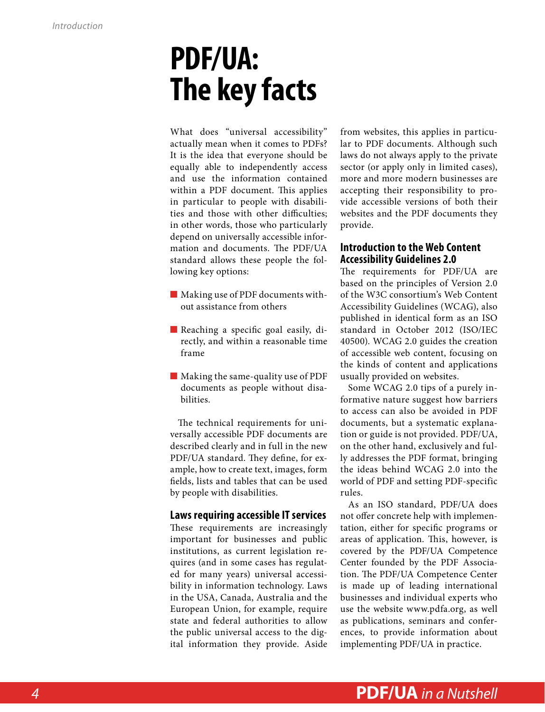### <span id="page-3-0"></span>**PDF/UA: The key facts**

What does "universal accessibility" actually mean when it comes to PDFs? It is the idea that everyone should be equally able to independently access and use the information contained within a PDF document. This applies in particular to people with disabilities and those with other difficulties; in other words, those who particularly depend on universally accessible information and documents. The PDF/UA standard allows these people the following key options:

- Making use of PDF documents without assistance from others
- Reaching a specific goal easily, directly, and within a reasonable time frame
- Making the same-quality use of PDF documents as people without disabilities.

The technical requirements for universally accessible PDF documents are described clearly and in full in the new PDF/UA standard. They define, for example, how to create text, images, form fields, lists and tables that can be used by people with disabilities.

#### **Laws requiring accessible IT services**

These requirements are increasingly important for businesses and public institutions, as current legislation requires (and in some cases has regulated for many years) universal accessibility in information technology. Laws in the USA, Canada, Australia and the European Union, for example, require state and federal authorities to allow the public universal access to the digital information they provide. Aside

from websites, this applies in particular to PDF documents. Although such laws do not always apply to the private sector (or apply only in limited cases), more and more modern businesses are accepting their responsibility to provide accessible versions of both their websites and the PDF documents they provide.

#### **Introduction to the Web Content Accessibility Guidelines 2.0**

The requirements for PDF/UA are based on the principles of Version 2.0 of the W3C consortium's Web Content Accessibility Guidelines (WCAG), also published in identical form as an ISO standard in October 2012 (ISO/IEC 40500). WCAG 2.0 guides the creation of accessible web content, focusing on the kinds of content and applications usually provided on websites.

Some WCAG 2.0 tips of a purely informative nature suggest how barriers to access can also be avoided in PDF documents, but a systematic explanation or guide is not provided. PDF/UA, on the other hand, exclusively and fully addresses the PDF format, bringing the ideas behind WCAG 2.0 into the world of PDF and setting PDF-specific rules.

As an ISO standard, PDF/UA does not offer concrete help with implementation, either for specific programs or areas of application. This, however, is covered by the [PDF/UA Competence](http://www.pdfa.org/competence-centers/pdfua-competence-center/)  [Center](http://www.pdfa.org/competence-centers/pdfua-competence-center/) founded by the PDF Association. The PDF/UA Competence Center is made up of leading international businesses and individual experts who use the website [www.pdfa.org](http://www.pdfa.org/), as well as publications, seminars and conferences, to provide information about implementing PDF/UA in practice.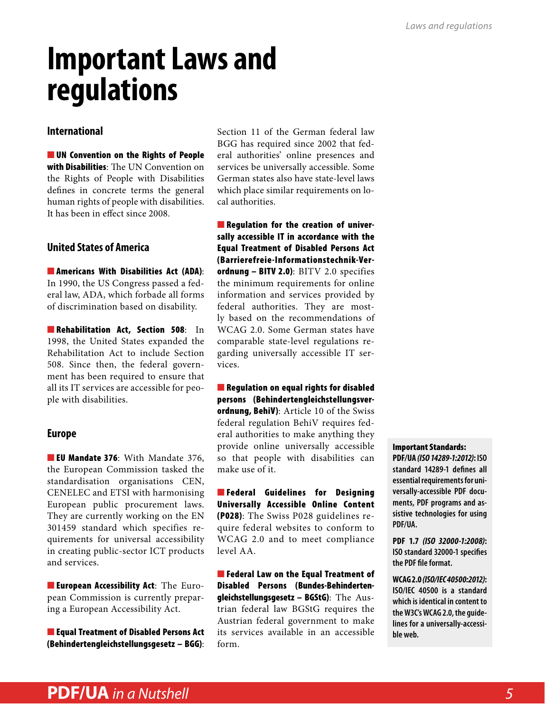## <span id="page-4-0"></span>**Important Laws and regulations**

#### **International**

■ [UN Convention on the Rights of People](http://www.bmas.de/SharedDocs/Downloads/DE/PDF-Publikationen/a729-un-konvention.pdf%3F__blob%3DpublicationFile) [with Disabilities](http://www.bmas.de/SharedDocs/Downloads/DE/PDF-Publikationen/a729-un-konvention.pdf%3F__blob%3DpublicationFile): The UN Convention on the Rights of People with Disabilities defines in concrete terms the general human rights of people with disabilities. It has been in effect since 2008.

#### **United States of America**

■ [Americans With Disabilities Act \(ADA\)](http://www.ada.gov/pubs/adastatute08markscrdr.htm): In 1990, the US Congress passed a federal law, ADA, which forbade all forms of discrimination based on disability.

■ [Rehabilitation Act, Section 508](http://www.access-board.gov/sec508/guide/act.htm): In 1998, the United States expanded the Rehabilitation Act to include Section 508. Since then, the federal government has been required to ensure that all its IT services are accessible for people with disabilities.

#### **Europe**

■ [EU Mandate 376](http://www.mandate376.eu/): With Mandate 376, the European Commission tasked the standardisation organisations CEN, CENELEC and ETSI with harmonising European public procurement laws. They are currently working on the EN 301459 standard which specifies requirements for universal accessibility in creating public-sector ICT products and services.

■ [European Accessibility Act](http://ec.europa.eu/justice/newsroom/discrimination/opinion/111207_en.htm): The European Commission is currently preparing a European Accessibility Act.

■ Equal Treatment of Disabled Persons Act ([Behindertengleichstellungsgesetz – BGG\)](http://www.gesetze-im-internet.de/bgg/BJNR146800002.html):

Section 11 of the German federal law BGG has required since 2002 that federal authorities' online presences and services be universally accessible. Some German states also have state-level laws which place similar requirements on local authorities.

■ Regulation for the creation of universally accessible IT in accordance with the Equal Treatment of Disabled Persons Act [\(Barrierefreie-Informationstechnik-Ver](http://www.gesetze-im-internet.de/bitv_2_0/BJNR184300011.html)ordnung - BITV 2.0): BITV 2.0 specifies the minimum requirements for online information and services provided by federal authorities. They are mostly based on the recommendations of WCAG 2.0. Some German states have comparable state-level regulations regarding universally accessible IT services.

■ Regulation on equal rights for disabled persons [\(Behindertengleichstellungsver](http://www.admin.ch/opc/de/classified-compilation/20031813/index.html)[ordnung, BehiV\)](http://www.admin.ch/opc/de/classified-compilation/20031813/index.html): Article 10 of the Swiss federal regulation BehiV requires federal authorities to make anything they provide online universally accessible so that people with disabilities can make use of it.

■ [Federal Guidelines for Designing](http://www.isb.admin.ch/themen/standards/alle/03237/) [Universally Accessible Online Content](http://www.isb.admin.ch/themen/standards/alle/03237/) (P028): The Swiss P028 guidelines require federal websites to conform to WCAG 2.0 and to meet compliance level AA.

■ Federal Law on the Equal Treatment of Disabled Persons ([Bundes-Behinderten](http://www.ris.bka.gv.at/GeltendeFassung.wxe%3FAbfrage%3DBundesnormen%26Gesetzesnummer%3D20004228)[gleichstellungsgesetz – BGStG](http://www.ris.bka.gv.at/GeltendeFassung.wxe%3FAbfrage%3DBundesnormen%26Gesetzesnummer%3D20004228)): The Austrian federal law BGStG requires the Austrian federal government to make its services available in an accessible form.

#### Important Standards:

**PDF/UA** *[\(ISO 14289-1:2012\)](http://www.iso.org/iso/home/store/catalogue_tc/catalogue_detail.htm%253Fcsnumber%253D54564)***: ISO standard 14289-1 defines all essential requirements for universally-accessible PDF documents, PDF programs and assistive technologies for using PDF/UA.** 

**PDF 1.7** *[\(ISO 32000-1:2008](http://www.iso.org/iso/home/store/catalogue_tc/catalogue_detail.htm%253Fcsnumber%253D51502))***: ISO standard 32000-1 specifies the PDF file format.** 

**WCAG 2.0** *([ISO/IEC 40500:2012\)](http://www.iso.org/iso/iso_catalogue/catalogue_tc/catalogue_detail.htm%253Fcsnumber%253D58625)***: ISO/IEC 40500 is a standard which is identical in content to the W3C's WCAG 2.0, the guidelines for a universally-accessible web.**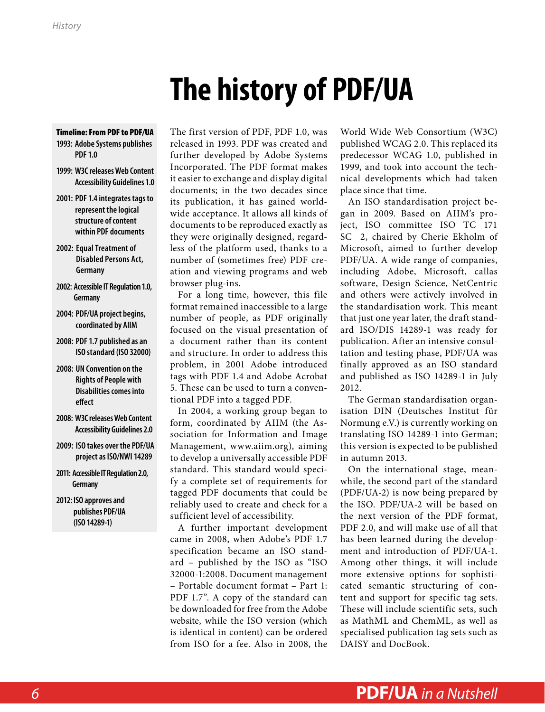# **The history of PDF/UA**

- <span id="page-5-0"></span>Timeline: From PDF to PDF/UA **1993: Adobe Systems publishes PDF 1.0**
- **1999: W3C releases Web Content Accessibility Guidelines 1.0**
- **2001: PDF 1.4 integrates tags to represent the logical structure of content within PDF documents**
- **2002: Equal Treatment of Disabled Persons Act, Germany**
- **2002: Accessible IT Regulation 1.0, Germany**
- **2004: PDF/UA project begins, coordinated by AIIM**
- **2008: PDF 1.7 published as an ISO standard (ISO 32000)**
- **2008: UN Convention on the Rights of People with Disabilities comes into effect**
- **2008: W3C releases Web Content Accessibility Guidelines 2.0**
- **2009: ISO takes over the PDF/UA project as ISO/NWI 14289**
- **2011: Accessible IT Regulation 2.0, Germany**
- **2012: ISO approves and publishes PDF/UA (ISO 14289-1)**

The first version of PDF, PDF 1.0, was released in 1993. PDF was created and further developed by Adobe Systems Incorporated. The PDF format makes it easier to exchange and display digital documents; in the two decades since its publication, it has gained worldwide acceptance. It allows all kinds of documents to be reproduced exactly as they were originally designed, regardless of the platform used, thanks to a number of (sometimes free) PDF creation and viewing programs and web browser plug-ins.

For a long time, however, this file format remained inaccessible to a large number of people, as PDF originally focused on the visual presentation of a document rather than its content and structure. In order to address this problem, in 2001 Adobe introduced tags with PDF 1.4 and Adobe Acrobat 5. These can be used to turn a conventional PDF into a tagged PDF.

In 2004, a working group began to form, coordinated by AIIM (the Association for Information and Image Management, www.aiim.org), aiming to develop a universally accessible PDF standard. This standard would specify a complete set of requirements for tagged PDF documents that could be reliably used to create and check for a sufficient level of accessibility.

A further important development came in 2008, when Adobe's PDF 1.7 specification became an ISO standard – published by the ISO as "ISO 32000-1:2008. Document management – Portable document format – Part 1: PDF 1.7". A copy of the standard can be downloaded for free from the [Adobe](http://www.adobe.com/devnet/pdf/pdf_reference.html) [website](http://www.adobe.com/devnet/pdf/pdf_reference.html), while the ISO version (which is identical in content) can be ordered from ISO for a fee. Also in 2008, the

World Wide Web Consortium (W3C) published WCAG 2.0. This replaced its predecessor WCAG 1.0, published in 1999, and took into account the technical developments which had taken place since that time.

An ISO standardisation project began in 2009. Based on AIIM's project, ISO committee ISO TC 171 SC 2, chaired by Cherie Ekholm of Microsoft, aimed to further develop PDF/UA. A wide range of companies, including Adobe, Microsoft, callas software, Design Science, NetCentric and others were actively involved in the standardisation work. This meant that just one year later, the draft standard ISO/DIS 14289-1 was ready for publication. After an intensive consultation and testing phase, PDF/UA was finally approved as an ISO standard and published as ISO 14289-1 in July 2012.

The German standardisation organisation DIN (Deutsches Institut für Normung e.V.) is currently working on translating ISO 14289-1 into German; this version is expected to be published in autumn 2013.

On the international stage, meanwhile, the second part of the standard (PDF/UA-2) is now being prepared by the ISO. PDF/UA-2 will be based on the next version of the PDF format, PDF 2.0, and will make use of all that has been learned during the development and introduction of PDF/UA-1. Among other things, it will include more extensive options for sophisticated semantic structuring of content and support for specific tag sets. These will include scientific sets, such as MathML and ChemML, as well as specialised publication tag sets such as DAISY and DocBook.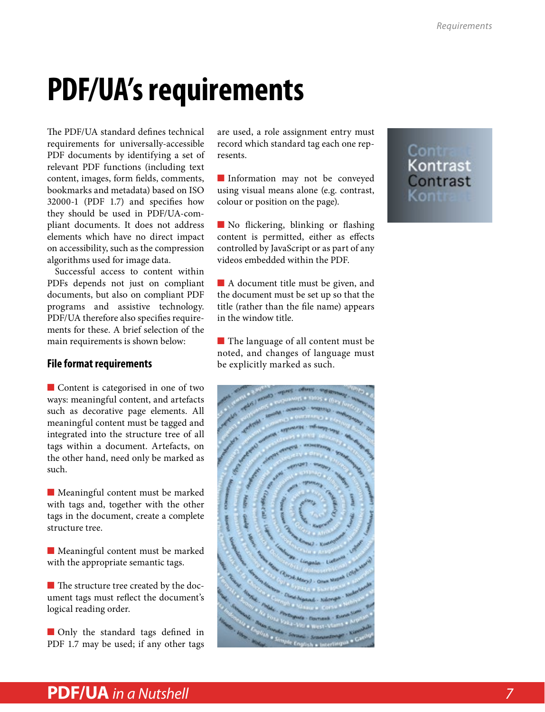## <span id="page-6-0"></span>**PDF/UA's requirements**

The PDF/UA standard defines technical requirements for universally-accessible PDF documents by identifying a set of relevant PDF functions (including text content, images, form fields, comments, bookmarks and metadata) based on ISO 32000-1 (PDF 1.7) and specifies how they should be used in PDF/UA-compliant documents. It does not address elements which have no direct impact on accessibility, such as the compression algorithms used for image data.

Successful access to content within PDFs depends not just on compliant documents, but also on compliant PDF programs and assistive technology. PDF/UA therefore also specifies requirements for these. A brief selection of the main requirements is shown below:

#### **File format requirements**

■ Content is categorised in one of two ways: meaningful content, and artefacts such as decorative page elements. All meaningful content must be tagged and integrated into the structure tree of all tags within a document. Artefacts, on the other hand, need only be marked as such.

■ Meaningful content must be marked with tags and, together with the other tags in the document, create a complete structure tree.

■ Meaningful content must be marked with the appropriate semantic tags.

■ The structure tree created by the document tags must reflect the document's logical reading order.

■ Only the standard tags defined in PDF 1.7 may be used; if any other tags are used, a role assignment entry must record which standard tag each one represents.

■ Information may not be conveyed using visual means alone (e.g. contrast, colour or position on the page).

■ No flickering, blinking or flashing content is permitted, either as effects controlled by JavaScript or as part of any videos embedded within the PDF.

■ A document title must be given, and the document must be set up so that the title (rather than the file name) appears in the window title.

■ The language of all content must be noted, and changes of language must be explicitly marked as such.



### Cont<br>Kontrast<br>Contrast Kontr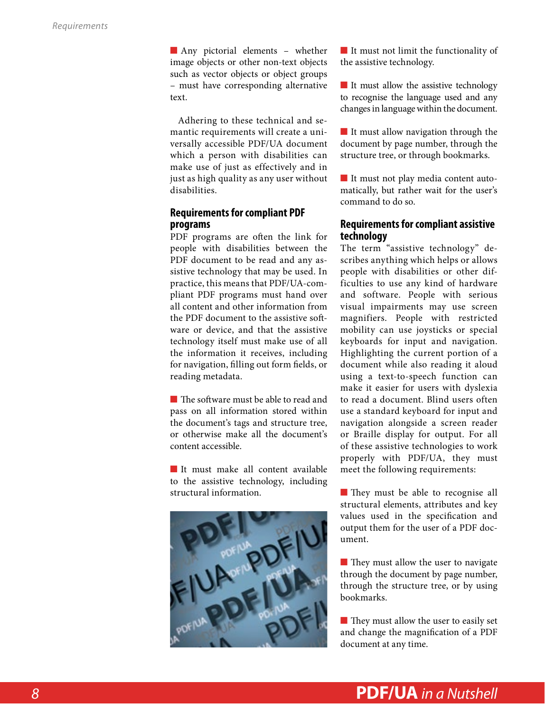<span id="page-7-0"></span>■ Any pictorial elements – whether image objects or other non-text objects such as vector objects or object groups – must have corresponding alternative text.

Adhering to these technical and semantic requirements will create a universally accessible PDF/UA document which a person with disabilities can make use of just as effectively and in just as high quality as any user without disabilities.

#### **Requirements for compliant PDF programs**

PDF programs are often the link for people with disabilities between the PDF document to be read and any assistive technology that may be used. In practice, this means that PDF/UA-compliant PDF programs must hand over all content and other information from the PDF document to the assistive software or device, and that the assistive technology itself must make use of all the information it receives, including for navigation, filling out form fields, or reading metadata.

■ The software must be able to read and pass on all information stored within the document's tags and structure tree, or otherwise make all the document's content accessible.

■ It must make all content available to the assistive technology, including structural information.



■ It must not limit the functionality of the assistive technology.

■ It must allow the assistive technology to recognise the language used and any changes in language within the document.

■ It must allow navigation through the document by page number, through the structure tree, or through bookmarks.

■ It must not play media content automatically, but rather wait for the user's command to do so.

#### **Requirements for compliant assistive technology**

The term "assistive technology" describes anything which helps or allows people with disabilities or other difficulties to use any kind of hardware and software. People with serious visual impairments may use screen magnifiers. People with restricted mobility can use joysticks or special keyboards for input and navigation. Highlighting the current portion of a document while also reading it aloud using a text-to-speech function can make it easier for users with dyslexia to read a document. Blind users often use a standard keyboard for input and navigation alongside a screen reader or Braille display for output. For all of these assistive technologies to work properly with PDF/UA, they must meet the following requirements:

■ They must be able to recognise all structural elements, attributes and key values used in the specification and output them for the user of a PDF document.

■ They must allow the user to navigate through the document by page number, through the structure tree, or by using bookmarks.

■ They must allow the user to easily set and change the magnification of a PDF document at any time.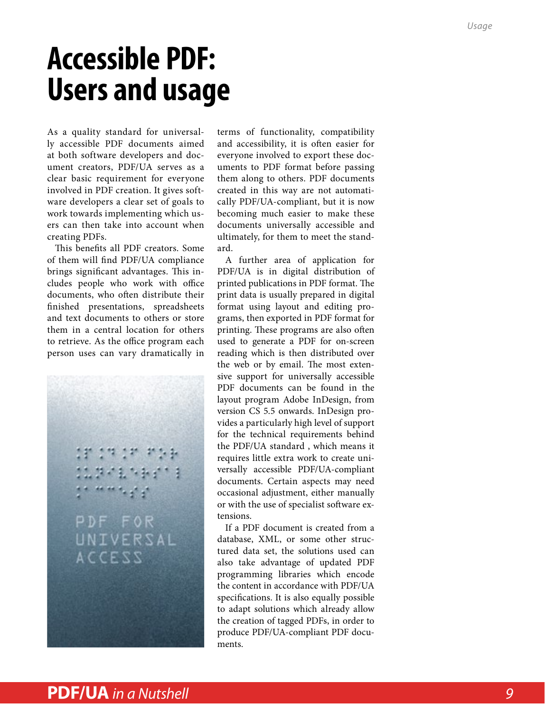### <span id="page-8-0"></span>**Accessible PDF: Users and usage**

As a quality standard for universally accessible PDF documents aimed at both software developers and document creators, PDF/UA serves as a clear basic requirement for everyone involved in PDF creation. It gives software developers a clear set of goals to work towards implementing which users can then take into account when creating PDFs.

This benefits all PDF creators. Some of them will find PDF/UA compliance brings significant advantages. This includes people who work with office documents, who often distribute their finished presentations, spreadsheets and text documents to others or store them in a central location for others to retrieve. As the office program each person uses can vary dramatically in

PDF FOR UNIVERSAL **ACCESS** 

terms of functionality, compatibility and accessibility, it is often easier for everyone involved to export these documents to PDF format before passing them along to others. PDF documents created in this way are not automatically PDF/UA-compliant, but it is now becoming much easier to make these documents universally accessible and ultimately, for them to meet the standard.

A further area of application for PDF/UA is in digital distribution of printed publications in PDF format. The print data is usually prepared in digital format using layout and editing programs, then exported in PDF format for printing. These programs are also often used to generate a PDF for on-screen reading which is then distributed over the web or by email. The most extensive support for universally accessible PDF documents can be found in the layout program Adobe InDesign, from version CS 5.5 onwards. InDesign provides a particularly high level of support for the technical requirements behind the PDF/UA standard , which means it requires little extra work to create universally accessible PDF/UA-compliant documents. Certain aspects may need occasional adjustment, either manually or with the use of specialist software extensions.

If a PDF document is created from a database, XML, or some other structured data set, the solutions used can also take advantage of updated PDF programming libraries which encode the content in accordance with PDF/UA specifications. It is also equally possible to adapt solutions which already allow the creation of tagged PDFs, in order to produce PDF/UA-compliant PDF documents.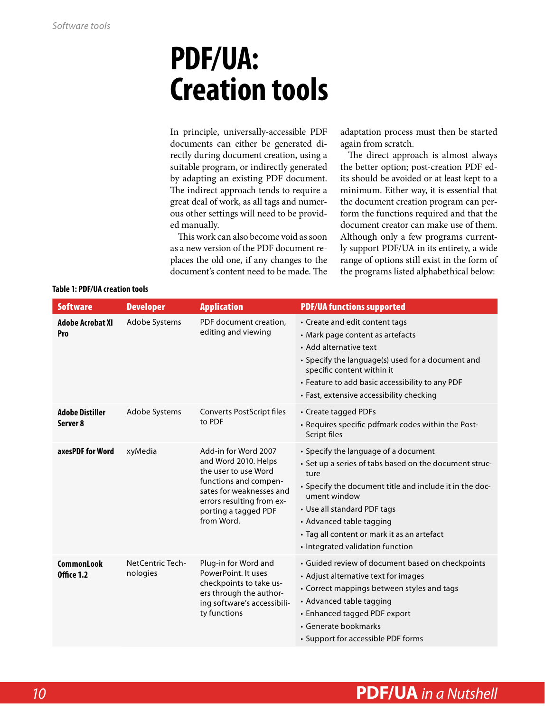### <span id="page-9-0"></span>**PDF/UA: Creation tools**

In principle, universally-accessible PDF documents can either be generated directly during document creation, using a suitable program, or indirectly generated by adapting an existing PDF document. The indirect approach tends to require a great deal of work, as all tags and numerous other settings will need to be provided manually.

This work can also become void as soon as a new version of the PDF document replaces the old one, if any changes to the document's content need to be made. The

adaptation process must then be started again from scratch.

The direct approach is almost always the better option; post-creation PDF edits should be avoided or at least kept to a minimum. Either way, it is essential that the document creation program can perform the functions required and that the document creator can make use of them. Although only a few programs currently support PDF/UA in its entirety, a wide range of options still exist in the form of the programs listed alphabethical below:

| <b>Software</b>                        | <b>Developer</b>             | <b>Application</b>                                                                                                                                                                           | <b>PDF/UA functions supported</b>                                                                                                                                                                                                                                                                                               |
|----------------------------------------|------------------------------|----------------------------------------------------------------------------------------------------------------------------------------------------------------------------------------------|---------------------------------------------------------------------------------------------------------------------------------------------------------------------------------------------------------------------------------------------------------------------------------------------------------------------------------|
| <b>Adobe Acrobat XI</b><br>Pro         | Adobe Systems                | PDF document creation,<br>editing and viewing                                                                                                                                                | • Create and edit content tags<br>• Mark page content as artefacts<br>• Add alternative text<br>• Specify the language(s) used for a document and<br>specific content within it<br>• Feature to add basic accessibility to any PDF<br>• Fast, extensive accessibility checking                                                  |
| <b>Adobe Distiller</b><br>Server 8     | Adobe Systems                | Converts PostScript files<br>to PDF                                                                                                                                                          | • Create tagged PDFs<br>• Requires specific pdfmark codes within the Post-<br>Script files                                                                                                                                                                                                                                      |
| axesPDF for Word                       | xyMedia                      | Add-in for Word 2007<br>and Word 2010. Helps<br>the user to use Word<br>functions and compen-<br>sates for weaknesses and<br>errors resulting from ex-<br>porting a tagged PDF<br>from Word. | • Specify the language of a document<br>• Set up a series of tabs based on the document struc-<br>ture<br>• Specify the document title and include it in the doc-<br>ument window<br>• Use all standard PDF tags<br>• Advanced table tagging<br>• Tag all content or mark it as an artefact<br>• Integrated validation function |
| <b>CommonLook</b><br><b>Office 1.2</b> | NetCentric Tech-<br>nologies | Plug-in for Word and<br>PowerPoint. It uses<br>checkpoints to take us-<br>ers through the author-<br>ing software's accessibili-<br>ty functions                                             | • Guided review of document based on checkpoints<br>• Adjust alternative text for images<br>• Correct mappings between styles and tags<br>• Advanced table tagging<br>• Enhanced tagged PDF export<br>• Generate bookmarks<br>• Support for accessible PDF forms                                                                |

#### **Table 1: PDF/UA creation tools**

### *10* **PDF/UA** *in a Nutshell*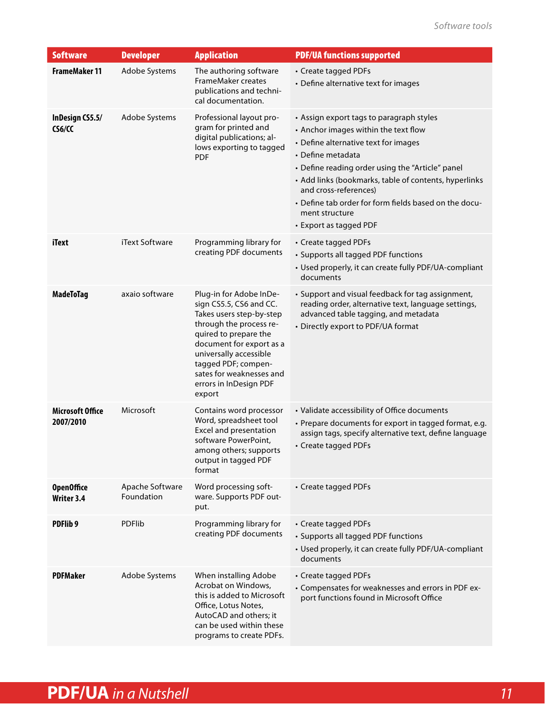| <b>Software</b>                      | <b>Developer</b>              | <b>Application</b>                                                                                                                                                                                                                                                              | <b>PDF/UA functions supported</b>                                                                                                                                                                                                                                                                                                                                                        |
|--------------------------------------|-------------------------------|---------------------------------------------------------------------------------------------------------------------------------------------------------------------------------------------------------------------------------------------------------------------------------|------------------------------------------------------------------------------------------------------------------------------------------------------------------------------------------------------------------------------------------------------------------------------------------------------------------------------------------------------------------------------------------|
| <b>FrameMaker 11</b>                 | Adobe Systems                 | The authoring software<br>FrameMaker creates<br>publications and techni-<br>cal documentation.                                                                                                                                                                                  | • Create tagged PDFs<br>• Define alternative text for images                                                                                                                                                                                                                                                                                                                             |
| InDesign CS5.5/<br>CS6/CC            | Adobe Systems                 | Professional layout pro-<br>gram for printed and<br>digital publications; al-<br>lows exporting to tagged<br><b>PDF</b>                                                                                                                                                         | • Assign export tags to paragraph styles<br>• Anchor images within the text flow<br>• Define alternative text for images<br>• Define metadata<br>• Define reading order using the "Article" panel<br>• Add links (bookmarks, table of contents, hyperlinks<br>and cross-references)<br>• Define tab order for form fields based on the docu-<br>ment structure<br>• Export as tagged PDF |
| iText                                | iText Software                | Programming library for<br>creating PDF documents                                                                                                                                                                                                                               | • Create tagged PDFs<br>• Supports all tagged PDF functions<br>• Used properly, it can create fully PDF/UA-compliant<br>documents                                                                                                                                                                                                                                                        |
| <b>MadeToTag</b>                     | axaio software                | Plug-in for Adobe InDe-<br>sign CS5.5, CS6 and CC.<br>Takes users step-by-step<br>through the process re-<br>quired to prepare the<br>document for export as a<br>universally accessible<br>tagged PDF; compen-<br>sates for weaknesses and<br>errors in InDesign PDF<br>export | • Support and visual feedback for tag assignment,<br>reading order, alternative text, language settings,<br>advanced table tagging, and metadata<br>• Directly export to PDF/UA format                                                                                                                                                                                                   |
| <b>Microsoft Office</b><br>2007/2010 | Microsoft                     | Contains word processor<br>Word, spreadsheet tool<br>Excel and presentation<br>software PowerPoint,<br>among others; supports<br>output in tagged PDF<br>format                                                                                                                 | • Validate accessibility of Office documents<br>• Prepare documents for export in tagged format, e.g.<br>assign tags, specify alternative text, define language<br>• Create tagged PDFs                                                                                                                                                                                                  |
| <b>OpenOffice</b><br>Writer 3.4      | Apache Software<br>Foundation | Word processing soft-<br>ware. Supports PDF out-<br>put.                                                                                                                                                                                                                        | • Create tagged PDFs                                                                                                                                                                                                                                                                                                                                                                     |
| PDFlib 9                             | PDFlib                        | Programming library for<br>creating PDF documents                                                                                                                                                                                                                               | • Create tagged PDFs<br>• Supports all tagged PDF functions<br>• Used properly, it can create fully PDF/UA-compliant<br>documents                                                                                                                                                                                                                                                        |
| <b>PDFMaker</b>                      | Adobe Systems                 | When installing Adobe<br>Acrobat on Windows,<br>this is added to Microsoft<br>Office, Lotus Notes,<br>AutoCAD and others; it<br>can be used within these<br>programs to create PDFs.                                                                                            | • Create tagged PDFs<br>• Compensates for weaknesses and errors in PDF ex-<br>port functions found in Microsoft Office                                                                                                                                                                                                                                                                   |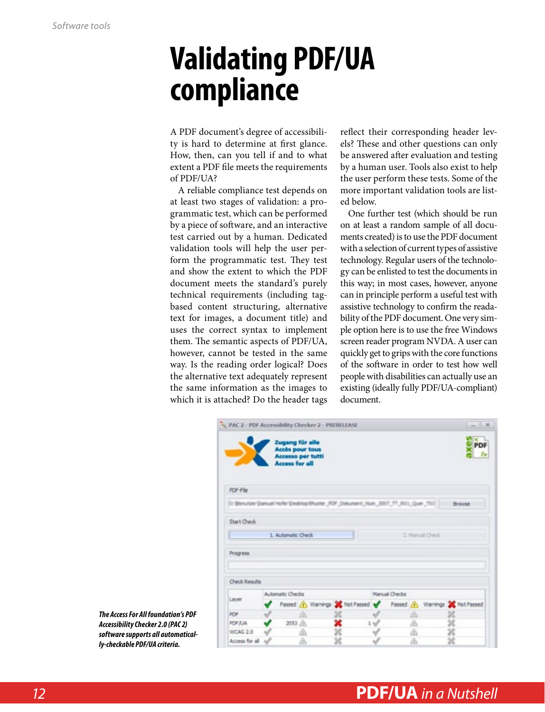### <span id="page-11-0"></span>**Validating PDF/UA compliance**

A PDF document's degree of accessibility is hard to determine at first glance. How, then, can you tell if and to what extent a PDF file meets the requirements of PDF/UA?

A reliable compliance test depends on at least two stages of validation: a programmatic test, which can be performed by a piece of software, and an interactive test carried out by a human. Dedicated validation tools will help the user perform the programmatic test. They test and show the extent to which the PDF document meets the standard's purely technical requirements (including tagbased content structuring, alternative text for images, a document title) and uses the correct syntax to implement them. The semantic aspects of PDF/UA, however, cannot be tested in the same way. Is the reading order logical? Does the alternative text adequately represent the same information as the images to which it is attached? Do the header tags

reflect their corresponding header levels? These and other questions can only be answered after evaluation and testing by a human user. Tools also exist to help the user perform these tests. Some of the more important validation tools are listed below.

One further test (which should be run on at least a random sample of all documents created) is to use the PDF document with a selection of current types of assistive technology. Regular users of the technology can be enlisted to test the documents in this way; in most cases, however, anyone can in principle perform a useful test with assistive technology to confirm the readability of the PDF document. One very simple option here is to use the free Windows screen reader program NVDA. A user can quickly get to grips with the core functions of the software in order to test how well people with disabilities can actually use an existing (ideally fully PDF/UA-compliant) document.

| PAC 2 - PDF Accessibility Checker 2 - PRERELEASE                               |                                                                                         |    |  |  |               |   |                 |                                                                      | $-1X$     |
|--------------------------------------------------------------------------------|-----------------------------------------------------------------------------------------|----|--|--|---------------|---|-----------------|----------------------------------------------------------------------|-----------|
|                                                                                | Zugang für alle<br><b>Accès pour tous</b><br>Accesso per tutti<br><b>Access for all</b> |    |  |  |               |   |                 |                                                                      | PDF<br>I> |
| <b>PDF-File</b>                                                                |                                                                                         |    |  |  |               |   |                 |                                                                      |           |
| [1] Derwizer Samuel Hufer Desking Phater JPF_Dakument_Num_2007_TT_NDL_Quer_703 |                                                                                         |    |  |  |               |   |                 | <b>Browse</b>                                                        |           |
| Start Check                                                                    |                                                                                         |    |  |  |               |   |                 |                                                                      |           |
|                                                                                | 1. Automatic Check                                                                      |    |  |  |               |   | 2. Manual Check |                                                                      |           |
| Progress                                                                       |                                                                                         |    |  |  |               |   |                 |                                                                      |           |
|                                                                                |                                                                                         |    |  |  |               |   |                 |                                                                      |           |
| Check Results                                                                  |                                                                                         |    |  |  |               |   |                 |                                                                      |           |
| Layer                                                                          | <b>Automatic Checks</b>                                                                 |    |  |  | Manual Checks |   |                 |                                                                      |           |
|                                                                                |                                                                                         |    |  |  |               |   |                 | Passed (1) Warnings 2 Not Passed of Passed (1) Warnings 2 Not Passed |           |
| <b>POF</b>                                                                     |                                                                                         | m. |  |  |               | m |                 |                                                                      |           |
| PDF/LIA                                                                        | 2053 (6)                                                                                |    |  |  |               | Δ |                 |                                                                      |           |
| WCAG 2.0                                                                       |                                                                                         | ◬  |  |  |               | ⋒ |                 |                                                                      |           |
| Access for all all                                                             |                                                                                         | Δ  |  |  |               | ◬ |                 |                                                                      |           |

*The Access For All foundation's PDF Accessibility Checker 2.0 (PAC 2) software supports all automatically-checkable PDF/UA criteria.*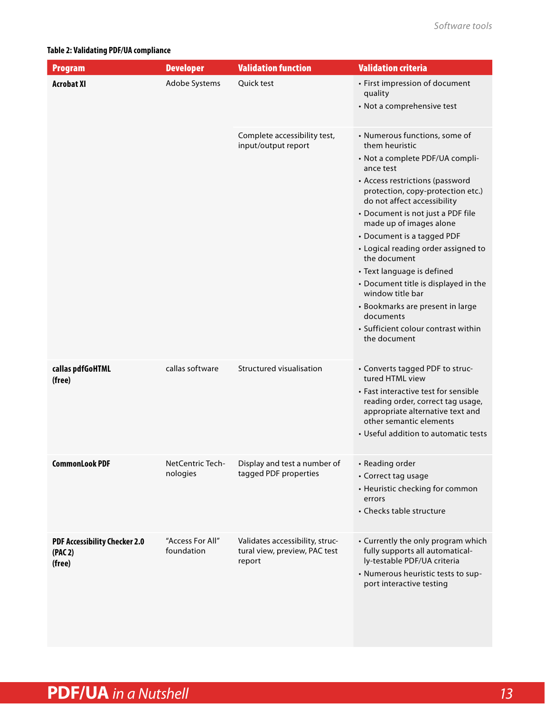#### <span id="page-12-0"></span>**Table 2: Validating PDF/UA compliance**

| <b>Program</b>                                            | <b>Developer</b>               | <b>Validation function</b>                                                 | <b>Validation criteria</b>                                                                                                                                                                                                                                                                                                                                                                                                                                                                                                                                    |
|-----------------------------------------------------------|--------------------------------|----------------------------------------------------------------------------|---------------------------------------------------------------------------------------------------------------------------------------------------------------------------------------------------------------------------------------------------------------------------------------------------------------------------------------------------------------------------------------------------------------------------------------------------------------------------------------------------------------------------------------------------------------|
| <b>Acrobat XI</b>                                         | Adobe Systems                  | Quick test                                                                 | • First impression of document<br>quality<br>• Not a comprehensive test                                                                                                                                                                                                                                                                                                                                                                                                                                                                                       |
|                                                           |                                | Complete accessibility test,<br>input/output report                        | • Numerous functions, some of<br>them heuristic<br>• Not a complete PDF/UA compli-<br>ance test<br>• Access restrictions (password<br>protection, copy-protection etc.)<br>do not affect accessibility<br>• Document is not just a PDF file<br>made up of images alone<br>• Document is a tagged PDF<br>• Logical reading order assigned to<br>the document<br>• Text language is defined<br>• Document title is displayed in the<br>window title bar<br>• Bookmarks are present in large<br>documents<br>• Sufficient colour contrast within<br>the document |
| callas pdfGoHTML<br>(free)                                | callas software                | Structured visualisation                                                   | • Converts tagged PDF to struc-<br>tured HTML view<br>• Fast interactive test for sensible<br>reading order, correct tag usage,<br>appropriate alternative text and<br>other semantic elements<br>• Useful addition to automatic tests                                                                                                                                                                                                                                                                                                                        |
| <b>CommonLook PDF</b>                                     | NetCentric Tech-<br>nologies   | Display and test a number of<br>tagged PDF properties                      | • Reading order<br>• Correct tag usage<br>• Heuristic checking for common<br>errors<br>• Checks table structure                                                                                                                                                                                                                                                                                                                                                                                                                                               |
| <b>PDF Accessibility Checker 2.0</b><br>(PAC 2)<br>(free) | "Access For All"<br>foundation | Validates accessibility, struc-<br>tural view, preview, PAC test<br>report | • Currently the only program which<br>fully supports all automatical-<br>ly-testable PDF/UA criteria<br>• Numerous heuristic tests to sup-<br>port interactive testing                                                                                                                                                                                                                                                                                                                                                                                        |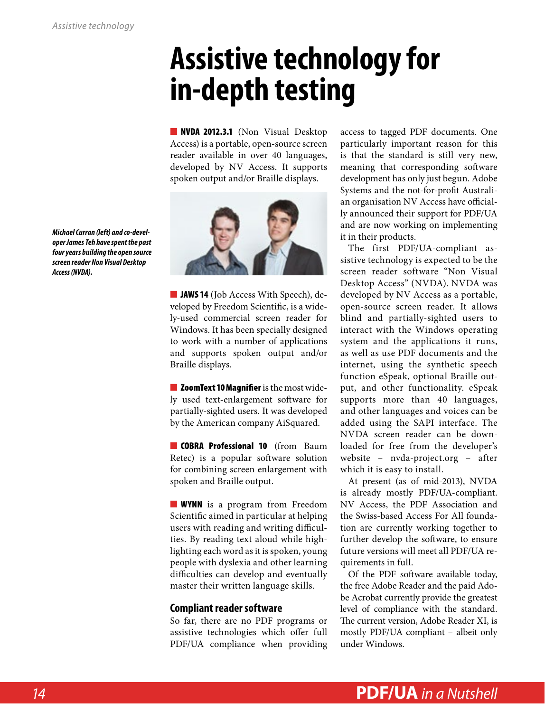### <span id="page-13-0"></span>**Assistive technology for in-depth testing**

■ **NVDA 2012.3.1** [\(Non Visual Desktop](http://www.nvaccess.org/) [Access\)](http://www.nvaccess.org/) is a portable, open-source screen reader available in over 40 languages, developed by NV Access. It supports spoken output and/or Braille displays.



■ **JAWS 14** [\(Job Access With Speech\),](http://www.freedomscientific.com/products/fs/jaws-product-page.asp) developed by Freedom Scientific, is a widely-used commercial screen reader for Windows. It has been specially designed to work with a number of applications and supports spoken output and/or Braille displays.

■ [ZoomText 10 Magnifier](http://www.aisquared.com/zoomtext) is the most widely used text-enlargement software for partially-sighted users. It was developed by the American company AiSquared.

**[COBRA Professional 10](http://www.baum.de/cms/de-de/cobra10/)** (from Baum Retec) is a popular software solution for combining screen enlargement with spoken and Braille output.

■ **[WYNN](http://www.freedomscientific.com/LSG/products/wynn.asp)** is a program from Freedom Scientific aimed in particular at helping users with reading and writing difficulties. By reading text aloud while highlighting each word as it is spoken, young people with dyslexia and other learning difficulties can develop and eventually master their written language skills.

#### **Compliant reader software**

So far, there are no PDF programs or assistive technologies which offer full PDF/UA compliance when providing

access to tagged PDF documents. One particularly important reason for this is that the standard is still very new, meaning that corresponding software development has only just begun. Adobe Systems and the not-for-profit Australian organisation NV Access have officially announced their support for PDF/UA and are now working on implementing it in their products.

The first PDF/UA-compliant assistive technology is expected to be the screen reader software "Non Visual Desktop Access" (NVDA). NVDA was developed by NV Access as a portable, open-source screen reader. It allows blind and partially-sighted users to interact with the Windows operating system and the applications it runs, as well as use PDF documents and the internet, using the synthetic speech function eSpeak, optional Braille output, and other functionality. eSpeak supports more than 40 languages, and other languages and voices can be added using the SAPI interface. The NVDA screen reader can be downloaded for free from the developer's website – [nvda-project.org](http://www.nvaccess.org/) – after which it is easy to install.

At present (as of mid-2013), NVDA is already mostly PDF/UA-compliant. NV Access, the PDF Association and the Swiss-based Access For All foundation are currently working together to further develop the software, to ensure future versions will meet all PDF/UA requirements in full.

Of the PDF software available today, the free Adobe Reader and the paid Adobe Acrobat currently provide the greatest level of compliance with the standard. The current version, Adobe Reader XI, is mostly PDF/UA compliant – albeit only under Windows.

*Michael Curran (left) and co-developer James Teh have spent the past four years building the open source screen reader Non Visual Desktop Access (NVDA).*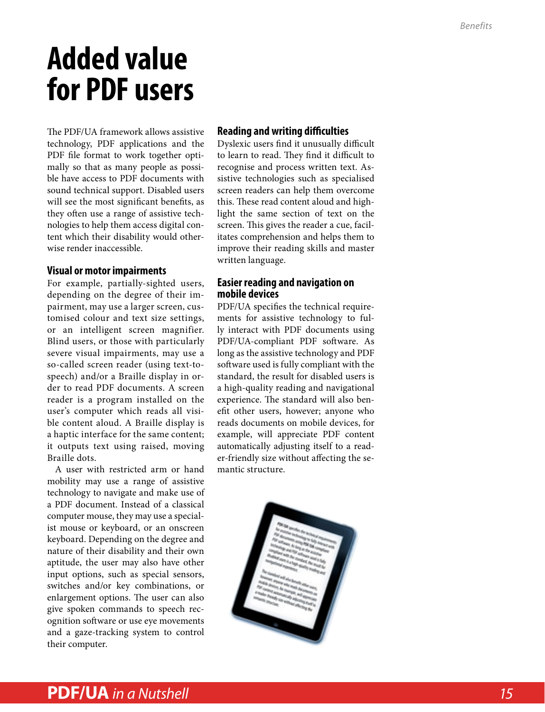## <span id="page-14-0"></span>**Added value for PDF users**

The PDF/UA framework allows assistive technology, PDF applications and the PDF file format to work together optimally so that as many people as possible have access to PDF documents with sound technical support. Disabled users will see the most significant benefits, as they often use a range of assistive technologies to help them access digital content which their disability would otherwise render inaccessible.

#### **Visual or motor impairments**

For example, partially-sighted users, depending on the degree of their impairment, may use a larger screen, customised colour and text size settings, or an intelligent screen magnifier. Blind users, or those with particularly severe visual impairments, may use a so-called screen reader (using text-tospeech) and/or a Braille display in order to read PDF documents. A screen reader is a program installed on the user's computer which reads all visible content aloud. A Braille display is a haptic interface for the same content; it outputs text using raised, moving Braille dots.

A user with restricted arm or hand mobility may use a range of assistive technology to navigate and make use of a PDF document. Instead of a classical computer mouse, they may use a specialist mouse or keyboard, or an onscreen keyboard. Depending on the degree and nature of their disability and their own aptitude, the user may also have other input options, such as special sensors, switches and/or key combinations, or enlargement options. The user can also give spoken commands to speech recognition software or use eye movements and a gaze-tracking system to control their computer.

#### **Reading and writing difficulties**

Dyslexic users find it unusually difficult to learn to read. They find it difficult to recognise and process written text. Assistive technologies such as specialised screen readers can help them overcome this. These read content aloud and highlight the same section of text on the screen. This gives the reader a cue, facilitates comprehension and helps them to improve their reading skills and master written language.

#### **Easier reading and navigation on mobile devices**

PDF/UA specifies the technical requirements for assistive technology to fully interact with PDF documents using PDF/UA-compliant PDF software. As long as the assistive technology and PDF software used is fully compliant with the standard, the result for disabled users is a high-quality reading and navigational experience. The standard will also benefit other users, however; anyone who reads documents on mobile devices, for example, will appreciate PDF content automatically adjusting itself to a reader-friendly size without affecting the semantic structure.

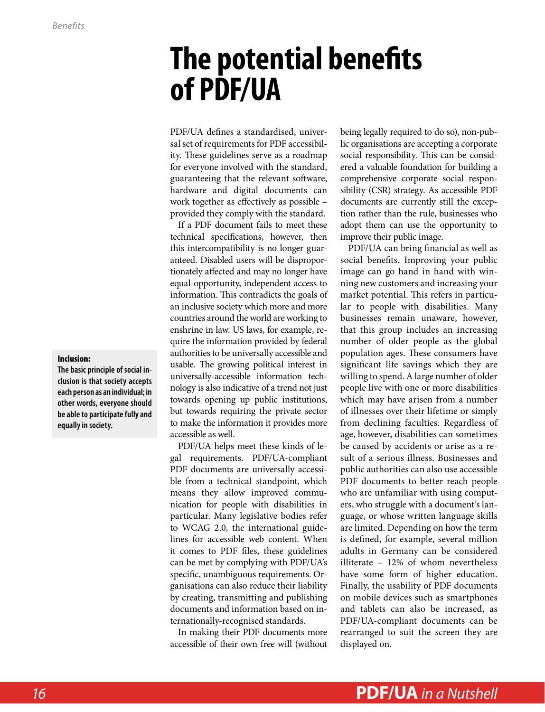### <span id="page-15-0"></span>**The potential benefits of PDF/UA**

PDF/UA defines a standardised, universal set of requirements for PDF accessibility. These guidelines serve as a roadmap for everyone involved with the standard, guaranteeing that the relevant software, hardware and digital documents can work together as effectively as possible – provided they comply with the standard.

If a PDF document fails to meet these technical specifications, however, then this intercompatibility is no longer guaranteed. Disabled users will be disproportionately affected and may no longer have equal-opportunity, independent access to information. This contradicts the goals of an inclusive society which more and more countries around the world are working to enshrine in law. US laws, for example, require the information provided by federal authorities to be universally accessible and usable. The growing political interest in universally-accessible information technology is also indicative of a trend not just towards opening up public institutions, but towards requiring the private sector to make the information it provides more accessible as well.

PDF/UA helps meet these kinds of legal requirements. PDF/UA-compliant PDF documents are universally accessible from a technical standpoint, which means they allow improved communication for people with disabilities in particular. Many legislative bodies refer to WCAG 2.0, the international guidelines for accessible web content. When it comes to PDF files, these guidelines can be met by complying with PDF/UA's specific, unambiguous requirements. Organisations can also reduce their liability by creating, transmitting and publishing documents and information based on internationally-recognised standards.

In making their PDF documents more accessible of their own free will (without

being legally required to do so), non-public organisations are accepting a corporate social responsibility. This can be considered a valuable foundation for building a comprehensive corporate social responsibility (CSR) strategy. As accessible PDF documents are currently still the exception rather than the rule, businesses who adopt them can use the opportunity to improve their public image.

PDF/UA can bring financial as well as social benefits. Improving your public image can go hand in hand with winning new customers and increasing your market potential. This refers in particular to people with disabilities. Many businesses remain unaware, however, that this group includes an increasing number of older people as the global population ages. These consumers have significant life savings which they are willing to spend. A large number of older people live with one or more disabilities which may have arisen from a number of illnesses over their lifetime or simply from declining faculties. Regardless of age, however, disabilities can sometimes be caused by accidents or arise as a result of a serious illness. Businesses and public authorities can also use accessible PDF documents to better reach people who are unfamiliar with using computers, who struggle with a document's language, or whose written language skills are limited. Depending on how the term is defined, for example, several million adults in Germany can be considered illiterate – 12% of whom nevertheless have some form of higher education. Finally, the usability of PDF documents on mobile devices such as smartphones and tablets can also be increased, as PDF/UA-compliant documents can be rearranged to suit the screen they are displayed on.

#### Inclusion:

**The basic principle of social inclusion is that society accepts each person as an individual; in other words, everyone should be able to participate fully and equally in society.**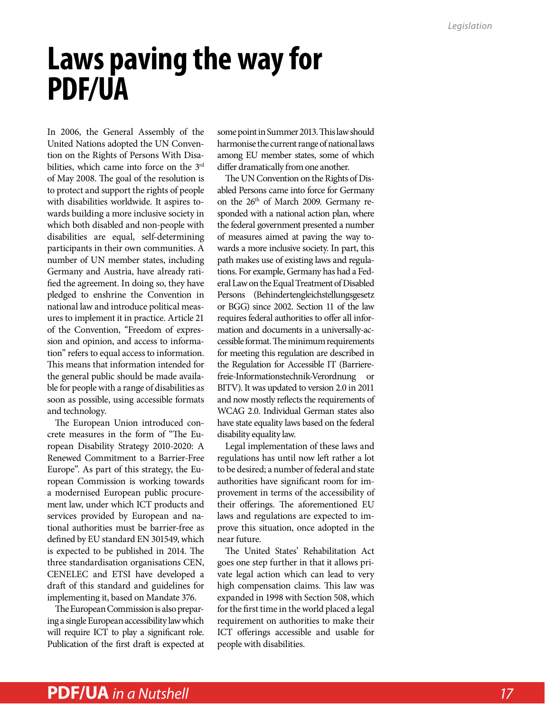### <span id="page-16-0"></span>**Laws paving the way for PDF/UA**

In 2006, the General Assembly of the United Nations adopted the UN Convention on the Rights of Persons With Disabilities, which came into force on the 3rd of May 2008. The goal of the resolution is to protect and support the rights of people with disabilities worldwide. It aspires towards building a more inclusive society in which both disabled and non-people with disabilities are equal, self-determining participants in their own communities. A number of UN member states, including Germany and Austria, have already ratified the agreement. In doing so, they have pledged to enshrine the Convention in national law and introduce political measures to implement it in practice. Article 21 of the Convention, "Freedom of expression and opinion, and access to information" refers to equal access to information. This means that information intended for the general public should be made available for people with a range of disabilities as soon as possible, using accessible formats and technology.

The European Union introduced concrete measures in the form of "The European Disability Strategy 2010-2020: A Renewed Commitment to a Barrier-Free Europe". As part of this strategy, the European Commission is working towards a modernised European public procurement law, under which ICT products and services provided by European and national authorities must be barrier-free as defined by EU standard EN 301549, which is expected to be published in 2014. The three standardisation organisations CEN, CENELEC and ETSI have developed a draft of this standard and guidelines for implementing it, based on Mandate 376.

The European Commission is also preparing a single European accessibility law which will require ICT to play a significant role. Publication of the first draft is expected at

some point in Summer 2013. This law should harmonise the current range of national laws among EU member states, some of which differ dramatically from one another.

The UN Convention on the Rights of Disabled Persons came into force for Germany on the 26<sup>th</sup> of March 2009. Germany responded with a national action plan, where the federal government presented a number of measures aimed at paving the way towards a more inclusive society. In part, this path makes use of existing laws and regulations. For example, Germany has had a Federal Law on the Equal Treatment of Disabled Persons (Behindertengleichstellungsgesetz or BGG) since 2002. Section 11 of the law requires federal authorities to offer all information and documents in a universally-accessible format. The minimum requirements for meeting this regulation are described in the Regulation for Accessible IT (Barrierefreie-Informationstechnik-Verordnung or BITV). It was updated to version 2.0 in 2011 and now mostly reflects the requirements of WCAG 2.0. Individual German states also have state equality laws based on the federal disability equality law.

Legal implementation of these laws and regulations has until now left rather a lot to be desired; a number of federal and state authorities have significant room for improvement in terms of the accessibility of their offerings. The aforementioned EU laws and regulations are expected to improve this situation, once adopted in the near future.

The United States' Rehabilitation Act goes one step further in that it allows private legal action which can lead to very high compensation claims. This law was expanded in 1998 with Section 508, which for the first time in the world placed a legal requirement on authorities to make their ICT offerings accessible and usable for people with disabilities.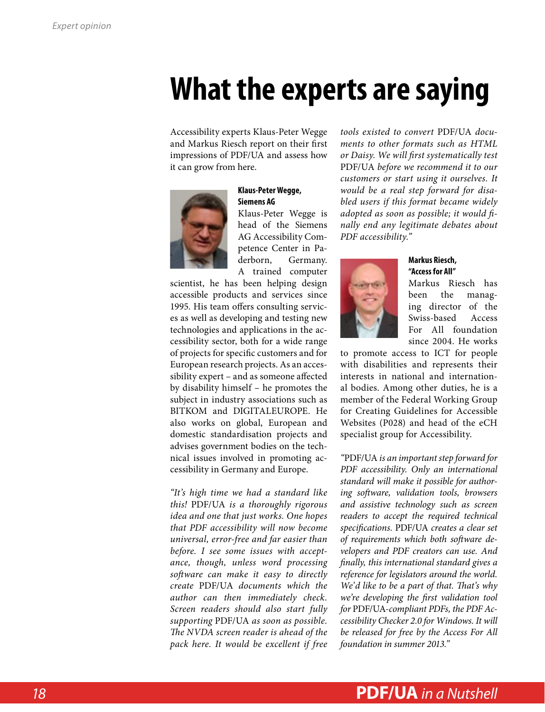### <span id="page-17-0"></span>**What the experts are saying**

Accessibility experts Klaus-Peter Wegge and Markus Riesch report on their first impressions of PDF/UA and assess how it can grow from here.



#### **Klaus-Peter Wegge, Siemens AG**

Klaus-Peter Wegge is head of the Siemens AG Accessibility Competence Center in Paderborn, Germany. A trained computer

scientist, he has been helping design accessible products and services since 1995. His team offers consulting services as well as developing and testing new technologies and applications in the accessibility sector, both for a wide range of projects for specific customers and for European research projects. As an accessibility expert – and as someone affected by disability himself – he promotes the subject in industry associations such as BITKOM and DIGITALEUROPE. He also works on global, European and domestic standardisation projects and advises government bodies on the technical issues involved in promoting accessibility in Germany and Europe.

*"It's high time we had a standard like this!* PDF/UA *is a thoroughly rigorous idea and one that just works. One hopes that PDF accessibility will now become universal, error-free and far easier than before. I see some issues with acceptance, though, unless word processing software can make it easy to directly create* PDF/UA *documents which the author can then immediately check. Screen readers should also start fully supporting* PDF/UA *as soon as possible. The NVDA screen reader is ahead of the pack here. It would be excellent if free*  *tools existed to convert* PDF/UA *documents to other formats such as HTML or Daisy. We will first systematically test*  PDF/UA *before we recommend it to our customers or start using it ourselves. It would be a real step forward for disabled users if this format became widely adopted as soon as possible; it would finally end any legitimate debates about PDF accessibility."*



#### **Markus Riesch, "Access for All"**

Markus Riesch has been the managing director of the Swiss-based Access For All foundation since 2004. He works

to promote access to ICT for people with disabilities and represents their interests in national and international bodies. Among other duties, he is a member of the Federal Working Group for Creating Guidelines for Accessible Websites (P028) and head of the eCH specialist group for Accessibility.

*"*PDF/UA *is an important step forward for PDF accessibility. Only an international standard will make it possible for authoring software, validation tools, browsers and assistive technology such as screen readers to accept the required technical specifications.* PDF/UA *creates a clear set of requirements which both software developers and PDF creators can use. And finally, this international standard gives a reference for legislators around the world. We'd like to be a part of that. That's why we're developing the first validation tool for* PDF/UA*-compliant PDFs, the PDF Accessibility Checker 2.0 for Windows. It will be released for free by the Access For All foundation in summer 2013."*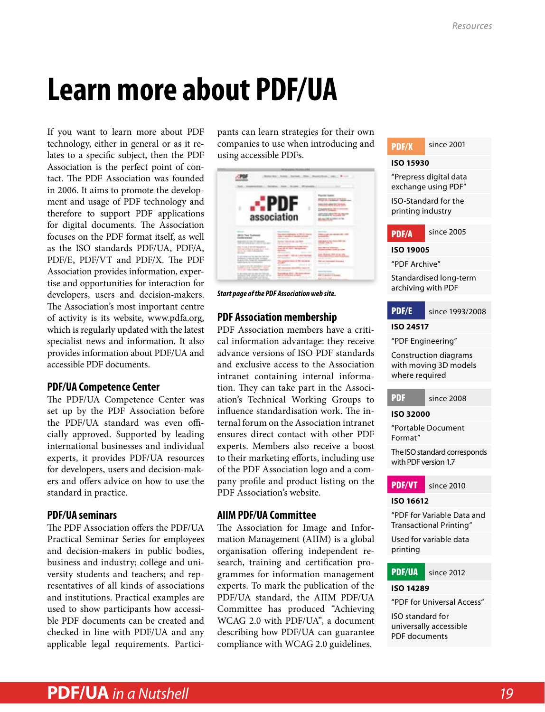# <span id="page-18-0"></span>**Learn more about PDF/UA**

If you want to learn more about PDF technology, either in general or as it relates to a specific subject, then the PDF Association is the perfect point of contact. The PDF Association was founded in 2006. It aims to promote the development and usage of PDF technology and therefore to support PDF applications for digital documents. The Association focuses on the PDF format itself, as well as the ISO standards PDF/UA, PDF/A, PDF/E, PDF/VT and PDF/X. The PDF Association provides information, expertise and opportunities for interaction for developers, users and decision-makers. The Association's most important centre of activity is its website, [www.pdfa.org,](http://www.pdfa.org/) which is regularly updated with the latest specialist news and information. It also provides information about PDF/UA and accessible PDF documents.

#### **PDF/UA Competence Center**

The PDF/UA Competence Center was set up by the PDF Association before the PDF/UA standard was even officially approved. Supported by leading international businesses and individual experts, it provides PDF/UA resources for developers, users and decision-makers and offers advice on how to use the standard in practice.

#### **PDF/UA seminars**

The PDF Association offers the PDF/UA Practical Seminar Series for employees and decision-makers in public bodies, business and industry; college and university students and teachers; and representatives of all kinds of associations and institutions. Practical examples are used to show participants how accessible PDF documents can be created and checked in line with PDF/UA and any applicable legal requirements. Participants can learn strategies for their own companies to use when introducing and using accessible PDFs.



*Start page of the PDF Association web site.*

#### **PDF Association membership**

PDF Association members have a critical information advantage: they receive advance versions of ISO PDF standards and exclusive access to the Association intranet containing internal information. They can take part in the Association's Technical Working Groups to influence standardisation work. The internal forum on the Association intranet ensures direct contact with other PDF experts. Members also receive a boost to their marketing efforts, including use of the PDF Association logo and a company profile and product listing on the PDF Association's website.

#### **AIIM PDF/UA Committee**

The Association for Image and Information Management (AIIM) is a global organisation offering independent research, training and certification programmes for information management experts. To mark the publication of the PDF/UA standard, the AIIM PDF/UA Committee has produced "Achieving WCAG 2.0 with PDF/UA", a document describing how PDF/UA can guarantee compliance with WCAG 2.0 guidelines.





#### **ISO 16612**

"PDF for Variable Data and Transactional Printing"

Used for variable data printing



#### **ISO 14289**

"PDF for Universal Access"

ISO standard for universally accessible PDF documents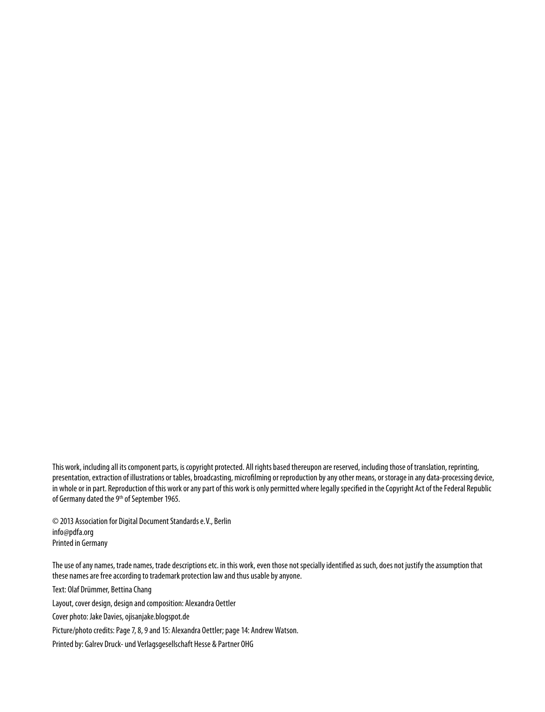This work, including all its component parts, is copyright protected. All rights based thereupon are reserved, including those of translation, reprinting, presentation, extraction of illustrations or tables, broadcasting, microfilming or reproduction by any other means, or storage in any data-processing device, in whole or in part. Reproduction of this work or any part of this work is only permitted where legally specified in the Copyright Act of the Federal Republic of Germany dated the 9<sup>th</sup> of September 1965.

© 2013 Association for Digital Document Standards e.V., Berlin info@pdfa.org Printed in Germany

The use of any names, trade names, trade descriptions etc. in this work, even those not specially identified as such, does not justify the assumption that these names are free according to trademark protection law and thus usable by anyone.

Text: Olaf Drümmer, Bettina Chang

Layout, cover design, design and composition: Alexandra Oettler

Cover photo: Jake Davies, ojisanjake.blogspot.de

Picture/photo credits: Page 7, 8, 9 and 15: Alexandra Oettler; page 14: Andrew Watson.

Printed by: Galrev Druck- und Verlagsgesellschaft Hesse & Partner OHG